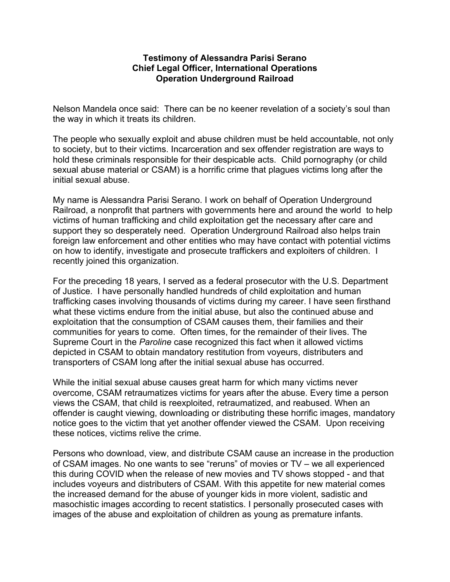## **Testimony of Alessandra Parisi Serano Chief Legal Officer, International Operations Operation Underground Railroad**

Nelson Mandela once said: There can be no keener revelation of a society's soul than the way in which it treats its children.

The people who sexually exploit and abuse children must be held accountable, not only to society, but to their victims. Incarceration and sex offender registration are ways to hold these criminals responsible for their despicable acts. Child pornography (or child sexual abuse material or CSAM) is a horrific crime that plagues victims long after the initial sexual abuse.

My name is Alessandra Parisi Serano. I work on behalf of Operation Underground Railroad, a nonprofit that partners with governments here and around the world to help victims of human trafficking and child exploitation get the necessary after care and support they so desperately need. Operation Underground Railroad also helps train foreign law enforcement and other entities who may have contact with potential victims on how to identify, investigate and prosecute traffickers and exploiters of children. I recently joined this organization.

For the preceding 18 years, I served as a federal prosecutor with the U.S. Department of Justice. I have personally handled hundreds of child exploitation and human trafficking cases involving thousands of victims during my career. I have seen firsthand what these victims endure from the initial abuse, but also the continued abuse and exploitation that the consumption of CSAM causes them, their families and their communities for years to come. Often times, for the remainder of their lives. The Supreme Court in the *Paroline* case recognized this fact when it allowed victims depicted in CSAM to obtain mandatory restitution from voyeurs, distributers and transporters of CSAM long after the initial sexual abuse has occurred.

While the initial sexual abuse causes great harm for which many victims never overcome, CSAM retraumatizes victims for years after the abuse. Every time a person views the CSAM, that child is reexploited, retraumatized, and reabused. When an offender is caught viewing, downloading or distributing these horrific images, mandatory notice goes to the victim that yet another offender viewed the CSAM. Upon receiving these notices, victims relive the crime.

Persons who download, view, and distribute CSAM cause an increase in the production of CSAM images. No one wants to see "reruns" of movies or TV – we all experienced this during COVID when the release of new movies and TV shows stopped - and that includes voyeurs and distributers of CSAM. With this appetite for new material comes the increased demand for the abuse of younger kids in more violent, sadistic and masochistic images according to recent statistics. I personally prosecuted cases with images of the abuse and exploitation of children as young as premature infants.